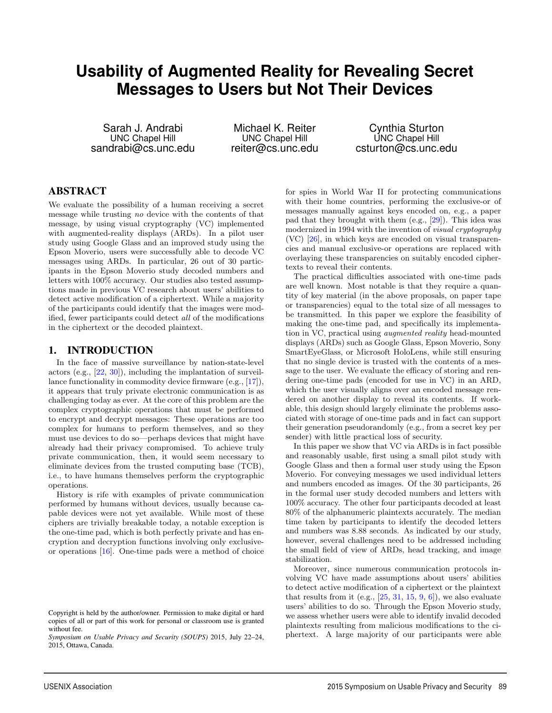# **Usability of Augmented Reality for Revealing Secret Messages to Users but Not Their Devices**

Sarah J. Andrabi UNC Chapel Hill sandrabi@cs.unc.edu

Michael K. Reiter UNC Chapel Hill reiter@cs.unc.edu

1

Cynthia Sturton UNC Chapel Hill csturton@cs.unc.edu

### ABSTRACT

We evaluate the possibility of a human receiving a secret message while trusting no device with the contents of that message, by using visual cryptography (VC) implemented with augmented-reality displays (ARDs). In a pilot user study using Google Glass and an improved study using the Epson Moverio, users were successfully able to decode VC messages using ARDs. In particular, 26 out of 30 participants in the Epson Moverio study decoded numbers and letters with 100% accuracy. Our studies also tested assumptions made in previous VC research about users' abilities to detect active modification of a ciphertext. While a majority of the participants could identify that the images were modified, fewer participants could detect all of the modifications in the ciphertext or the decoded plaintext.

#### 1. INTRODUCTION

In the face of massive surveillance by nation-state-level actors (e.g., [22, 30]), including the implantation of surveillance functionality in commodity device firmware (e.g., [17]), it appears that truly private electronic communication is as challenging today as ever. At the core of this problem are the complex cryptographic operations that must be performed to encrypt and decrypt messages: These operations are too complex for humans to perform themselves, and so they must use devices to do so—perhaps devices that might have already had their privacy compromised. To achieve truly private communication, then, it would seem necessary to eliminate devices from the trusted computing base (TCB), i.e., to have humans themselves perform the cryptographic operations.

History is rife with examples of private communication performed by humans without devices, usually because capable devices were not yet available. While most of these ciphers are trivially breakable today, a notable exception is the one-time pad, which is both perfectly private and has encryption and decryption functions involving only exclusiveor operations [16]. One-time pads were a method of choice for spies in World War II for protecting communications with their home countries, performing the exclusive-or of messages manually against keys encoded on, e.g., a paper pad that they brought with them (e.g., [29]). This idea was modernized in 1994 with the invention of visual cryptography (VC) [26], in which keys are encoded on visual transparencies and manual exclusive-or operations are replaced with overlaying these transparencies on suitably encoded ciphertexts to reveal their contents.

The practical difficulties associated with one-time pads are well known. Most notable is that they require a quantity of key material (in the above proposals, on paper tape or transparencies) equal to the total size of all messages to be transmitted. In this paper we explore the feasibility of making the one-time pad, and specifically its implementation in VC, practical using augmented reality head-mounted displays (ARDs) such as Google Glass, Epson Moverio, Sony SmartEyeGlass, or Microsoft HoloLens, while still ensuring that no single device is trusted with the contents of a message to the user. We evaluate the efficacy of storing and rendering one-time pads (encoded for use in VC) in an ARD, which the user visually aligns over an encoded message rendered on another display to reveal its contents. If workable, this design should largely eliminate the problems associated with storage of one-time pads and in fact can support their generation pseudorandomly (e.g., from a secret key per sender) with little practical loss of security.

In this paper we show that VC via ARDs is in fact possible and reasonably usable, first using a small pilot study with Google Glass and then a formal user study using the Epson Moverio. For conveying messages we used individual letters and numbers encoded as images. Of the 30 participants, 26 in the formal user study decoded numbers and letters with 100% accuracy. The other four participants decoded at least 80% of the alphanumeric plaintexts accurately. The median time taken by participants to identify the decoded letters and numbers was 8.88 seconds. As indicated by our study, however, several challenges need to be addressed including the small field of view of ARDs, head tracking, and image stabilization.

Moreover, since numerous communication protocols involving VC have made assumptions about users' abilities to detect active modification of a ciphertext or the plaintext that results from it (e.g.,  $[25, 31, 15, 9, 6]$ ), we also evaluate users' abilities to do so. Through the Epson Moverio study, we assess whether users were able to identify invalid decoded plaintexts resulting from malicious modifications to the ciphertext. A large majority of our participants were able

Copyright is held by the author/owner. Permission to make digital or hard copies of all or part of this work for personal or classroom use is granted without fee.

*Symposium on Usable Privacy and Security (SOUPS)* 2015, July 22–24, 2015, Ottawa, Canada.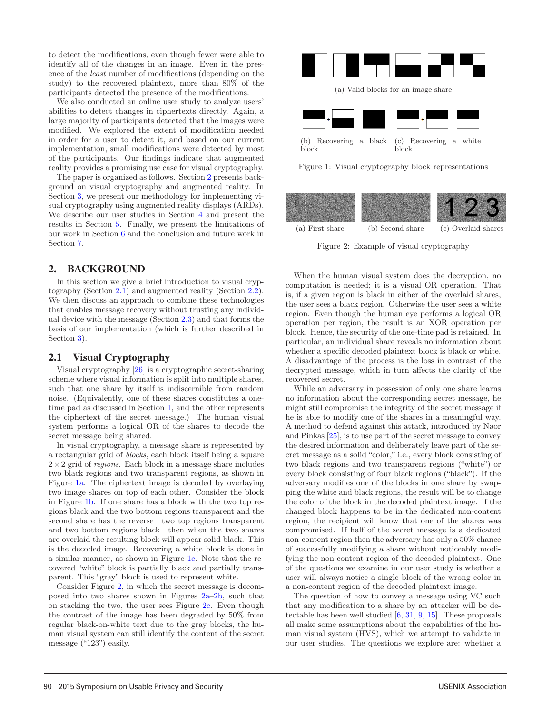to detect the modifications, even though fewer were able to identify all of the changes in an image. Even in the presence of the least number of modifications (depending on the study) to the recovered plaintext, more than 80% of the participants detected the presence of the modifications.

We also conducted an online user study to analyze users' abilities to detect changes in ciphertexts directly. Again, a large majority of participants detected that the images were modified. We explored the extent of modification needed in order for a user to detect it, and based on our current implementation, small modifications were detected by most of the participants. Our findings indicate that augmented reality provides a promising use case for visual cryptography.

The paper is organized as follows. Section 2 presents background on visual cryptography and augmented reality. In Section 3, we present our methodology for implementing visual cryptography using augmented reality displays (ARDs). We describe our user studies in Section 4 and present the results in Section 5. Finally, we present the limitations of our work in Section 6 and the conclusion and future work in Section 7.

#### 2. BACKGROUND

In this section we give a brief introduction to visual cryptography (Section 2.1) and augmented reality (Section 2.2). We then discuss an approach to combine these technologies that enables message recovery without trusting any individual device with the message (Section 2.3) and that forms the basis of our implementation (which is further described in Section 3).

#### 2.1 Visual Cryptography

Visual cryptography [26] is a cryptographic secret-sharing scheme where visual information is split into multiple shares, such that one share by itself is indiscernible from random noise. (Equivalently, one of these shares constitutes a onetime pad as discussed in Section 1, and the other represents the ciphertext of the secret message.) The human visual system performs a logical OR of the shares to decode the secret message being shared.

In visual cryptography, a message share is represented by a rectangular grid of blocks, each block itself being a square  $2\times2$  grid of *regions*. Each block in a message share includes two black regions and two transparent regions, as shown in Figure 1a. The ciphertext image is decoded by overlaying two image shares on top of each other. Consider the block in Figure 1b. If one share has a block with the two top regions black and the two bottom regions transparent and the second share has the reverse—two top regions transparent and two bottom regions black—then when the two shares are overlaid the resulting block will appear solid black. This is the decoded image. Recovering a white block is done in a similar manner, as shown in Figure 1c. Note that the recovered "white" block is partially black and partially transparent. This "gray" block is used to represent white.

Consider Figure 2, in which the secret message is decomposed into two shares shown in Figures 2a–2b, such that on stacking the two, the user sees Figure 2c. Even though the contrast of the image has been degraded by 50% from regular black-on-white text due to the gray blocks, the human visual system can still identify the content of the secret message ("123") easily.



Figure 1: Visual cryptography block representations



Figure 2: Example of visual cryptography

When the human visual system does the decryption, no computation is needed; it is a visual OR operation. That is, if a given region is black in either of the overlaid shares, the user sees a black region. Otherwise the user sees a white region. Even though the human eye performs a logical OR operation per region, the result is an XOR operation per block. Hence, the security of the one-time pad is retained. In particular, an individual share reveals no information about whether a specific decoded plaintext block is black or white. A disadvantage of the process is the loss in contrast of the decrypted message, which in turn affects the clarity of the recovered secret.

While an adversary in possession of only one share learns no information about the corresponding secret message, he might still compromise the integrity of the secret message if he is able to modify one of the shares in a meaningful way. A method to defend against this attack, introduced by Naor and Pinkas [25], is to use part of the secret message to convey the desired information and deliberately leave part of the secret message as a solid "color," i.e., every block consisting of two black regions and two transparent regions ("white") or every block consisting of four black regions ("black"). If the adversary modifies one of the blocks in one share by swapping the white and black regions, the result will be to change the color of the block in the decoded plaintext image. If the changed block happens to be in the dedicated non-content region, the recipient will know that one of the shares was compromised. If half of the secret message is a dedicated non-content region then the adversary has only a 50% chance of successfully modifying a share without noticeably modifying the non-content region of the decoded plaintext. One of the questions we examine in our user study is whether a user will always notice a single block of the wrong color in a non-content region of the decoded plaintext image.

The question of how to convey a message using VC such that any modification to a share by an attacker will be detectable has been well studied [6, 31, 9, 15]. These proposals all make some assumptions about the capabilities of the human visual system (HVS), which we attempt to validate in our user studies. The questions we explore are: whether a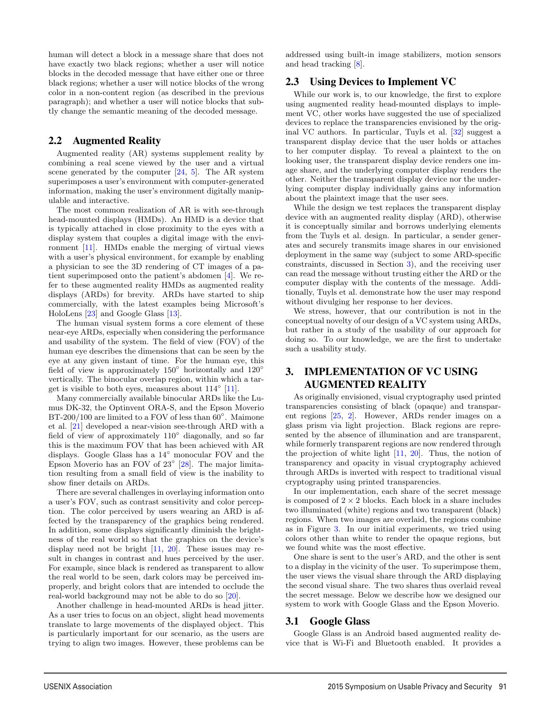human will detect a block in a message share that does not have exactly two black regions; whether a user will notice blocks in the decoded message that have either one or three black regions; whether a user will notice blocks of the wrong color in a non-content region (as described in the previous paragraph); and whether a user will notice blocks that subtly change the semantic meaning of the decoded message.

### 2.2 Augmented Reality

Augmented reality (AR) systems supplement reality by combining a real scene viewed by the user and a virtual scene generated by the computer  $[24, 5]$ . The AR system superimposes a user's environment with computer-generated information, making the user's environment digitally manipulable and interactive.

The most common realization of AR is with see-through head-mounted displays (HMDs). An HMD is a device that is typically attached in close proximity to the eyes with a display system that couples a digital image with the environment [11]. HMDs enable the merging of virtual views with a user's physical environment, for example by enabling a physician to see the 3D rendering of CT images of a patient superimposed onto the patient's abdomen [4]. We refer to these augmented reality HMDs as augmented reality displays (ARDs) for brevity. ARDs have started to ship commercially, with the latest examples being Microsoft's HoloLens [23] and Google Glass [13].

The human visual system forms a core element of these near-eye ARDs, especially when considering the performance and usability of the system. The field of view (FOV) of the human eye describes the dimensions that can be seen by the eye at any given instant of time. For the human eye, this field of view is approximately  $150°$  horizontally and  $120°$ vertically. The binocular overlap region, within which a target is visible to both eyes, measures about  $114^\circ$  [11].

Many commercially available binocular ARDs like the Lumus DK-32, the Optinvent ORA-S, and the Epson Moverio BT-200/100 are limited to a FOV of less than 60°. Maimone et al. [21] developed a near-vision see-through ARD with a field of view of approximately 110◦ diagonally, and so far this is the maximum FOV that has been achieved with AR displays. Google Glass has a 14◦ monocular FOV and the Epson Moverio has an FOV of 23◦ [28]. The major limitation resulting from a small field of view is the inability to show finer details on ARDs.

There are several challenges in overlaying information onto a user's FOV, such as contrast sensitivity and color perception. The color perceived by users wearing an ARD is affected by the transparency of the graphics being rendered. In addition, some displays significantly diminish the brightness of the real world so that the graphics on the device's display need not be bright [11, 20]. These issues may result in changes in contrast and hues perceived by the user. For example, since black is rendered as transparent to allow the real world to be seen, dark colors may be perceived improperly, and bright colors that are intended to occlude the real-world background may not be able to do so [20].

Another challenge in head-mounted ARDs is head jitter. As a user tries to focus on an object, slight head movements translate to large movements of the displayed object. This is particularly important for our scenario, as the users are trying to align two images. However, these problems can be addressed using built-in image stabilizers, motion sensors and head tracking [8].

### 2.3 Using Devices to Implement VC

While our work is, to our knowledge, the first to explore using augmented reality head-mounted displays to implement VC, other works have suggested the use of specialized devices to replace the transparencies envisioned by the original VC authors. In particular, Tuyls et al. [32] suggest a transparent display device that the user holds or attaches to her computer display. To reveal a plaintext to the on looking user, the transparent display device renders one image share, and the underlying computer display renders the other. Neither the transparent display device nor the underlying computer display individually gains any information about the plaintext image that the user sees.

While the design we test replaces the transparent display device with an augmented reality display (ARD), otherwise it is conceptually similar and borrows underlying elements from the Tuyls et al. design. In particular, a sender generates and securely transmits image shares in our envisioned deployment in the same way (subject to some ARD-specific constraints, discussed in Section 3), and the receiving user can read the message without trusting either the ARD or the computer display with the contents of the message. Additionally, Tuyls et al. demonstrate how the user may respond without divulging her response to her devices.

We stress, however, that our contribution is not in the conceptual novelty of our design of a VC system using ARDs, but rather in a study of the usability of our approach for doing so. To our knowledge, we are the first to undertake such a usability study.

# 3. IMPLEMENTATION OF VC USING AUGMENTED REALITY

As originally envisioned, visual cryptography used printed transparencies consisting of black (opaque) and transparent regions [25, 2]. However, ARDs render images on a glass prism via light projection. Black regions are represented by the absence of illumination and are transparent, while formerly transparent regions are now rendered through the projection of white light [11, 20]. Thus, the notion of transparency and opacity in visual cryptography achieved through ARDs is inverted with respect to traditional visual cryptography using printed transparencies.

In our implementation, each share of the secret message is composed of  $2 \times 2$  blocks. Each block in a share includes two illuminated (white) regions and two transparent (black) regions. When two images are overlaid, the regions combine as in Figure 3. In our initial experiments, we tried using colors other than white to render the opaque regions, but we found white was the most effective.

One share is sent to the user's ARD, and the other is sent to a display in the vicinity of the user. To superimpose them, the user views the visual share through the ARD displaying the second visual share. The two shares thus overlaid reveal the secret message. Below we describe how we designed our system to work with Google Glass and the Epson Moverio.

### 3.1 Google Glass

3

Google Glass is an Android based augmented reality device that is Wi-Fi and Bluetooth enabled. It provides a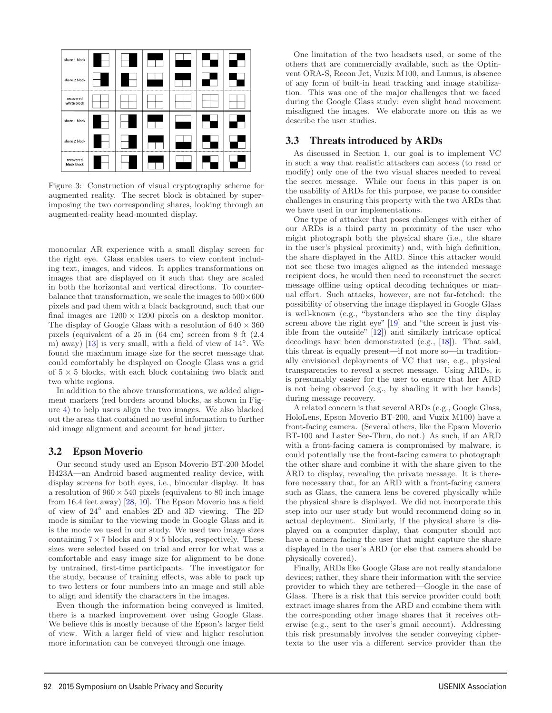

Figure 3: Construction of visual cryptography scheme for augmented reality. The secret block is obtained by superimposing the two corresponding shares, looking through an augmented-reality head-mounted display.

monocular AR experience with a small display screen for the right eye. Glass enables users to view content including text, images, and videos. It applies transformations on images that are displayed on it such that they are scaled in both the horizontal and vertical directions. To counterbalance that transformation, we scale the images to  $500\times600$ pixels and pad them with a black background, such that our final images are  $1200 \times 1200$  pixels on a desktop monitor. The display of Google Glass with a resolution of  $640 \times 360$ pixels (equivalent of a 25 in (64 cm) screen from 8 ft (2.4 m) away) [13] is very small, with a field of view of 14◦. We found the maximum image size for the secret message that could comfortably be displayed on Google Glass was a grid of  $5 \times 5$  blocks, with each block containing two black and two white regions.

In addition to the above transformations, we added alignment markers (red borders around blocks, as shown in Figure 4) to help users align the two images. We also blacked out the areas that contained no useful information to further aid image alignment and account for head jitter.

### 3.2 Epson Moverio

Our second study used an Epson Moverio BT-200 Model H423A—an Android based augmented reality device, with display screens for both eyes, i.e., binocular display. It has a resolution of  $960 \times 540$  pixels (equivalent to 80 inch image from 16.4 feet away) [28, 10]. The Epson Moverio has a field of view of 24◦ and enables 2D and 3D viewing. The 2D mode is similar to the viewing mode in Google Glass and it is the mode we used in our study. We used two image sizes containing  $7 \times 7$  blocks and  $9 \times 5$  blocks, respectively. These sizes were selected based on trial and error for what was a comfortable and easy image size for alignment to be done by untrained, first-time participants. The investigator for the study, because of training effects, was able to pack up to two letters or four numbers into an image and still able to align and identify the characters in the images.

Even though the information being conveyed is limited, there is a marked improvement over using Google Glass. We believe this is mostly because of the Epson's larger field of view. With a larger field of view and higher resolution more information can be conveyed through one image.

4

One limitation of the two headsets used, or some of the others that are commercially available, such as the Optinvent ORA-S, Recon Jet, Vuzix M100, and Lumus, is absence of any form of built-in head tracking and image stabilization. This was one of the major challenges that we faced during the Google Glass study: even slight head movement misaligned the images. We elaborate more on this as we describe the user studies.

# 3.3 Threats introduced by ARDs

As discussed in Section 1, our goal is to implement VC in such a way that realistic attackers can access (to read or modify) only one of the two visual shares needed to reveal the secret message. While our focus in this paper is on the usability of ARDs for this purpose, we pause to consider challenges in ensuring this property with the two ARDs that we have used in our implementations.

One type of attacker that poses challenges with either of our ARDs is a third party in proximity of the user who might photograph both the physical share (i.e., the share in the user's physical proximity) and, with high definition, the share displayed in the ARD. Since this attacker would not see these two images aligned as the intended message recipient does, he would then need to reconstruct the secret message offline using optical decoding techniques or manual effort. Such attacks, however, are not far-fetched: the possibility of observing the image displayed in Google Glass is well-known (e.g., "bystanders who see the tiny display screen above the right eye" [19] and "the screen is just visible from the outside"  $[12]$ ) and similarly intricate optical decodings have been demonstrated (e.g., [18]). That said, this threat is equally present—if not more so—in traditionally envisioned deployments of VC that use, e.g., physical transparencies to reveal a secret message. Using ARDs, it is presumably easier for the user to ensure that her ARD is not being observed (e.g., by shading it with her hands) during message recovery.

A related concern is that several ARDs (e.g., Google Glass, HoloLens, Epson Moverio BT-200, and Vuzix M100) have a front-facing camera. (Several others, like the Epson Moverio BT-100 and Laster See-Thru, do not.) As such, if an ARD with a front-facing camera is compromised by malware, it could potentially use the front-facing camera to photograph the other share and combine it with the share given to the ARD to display, revealing the private message. It is therefore necessary that, for an ARD with a front-facing camera such as Glass, the camera lens be covered physically while the physical share is displayed. We did not incorporate this step into our user study but would recommend doing so in actual deployment. Similarly, if the physical share is displayed on a computer display, that computer should not have a camera facing the user that might capture the share displayed in the user's ARD (or else that camera should be physically covered).

Finally, ARDs like Google Glass are not really standalone devices; rather, they share their information with the service provider to which they are tethered—Google in the case of Glass. There is a risk that this service provider could both extract image shares from the ARD and combine them with the corresponding other image shares that it receives otherwise (e.g., sent to the user's gmail account). Addressing this risk presumably involves the sender conveying ciphertexts to the user via a different service provider than the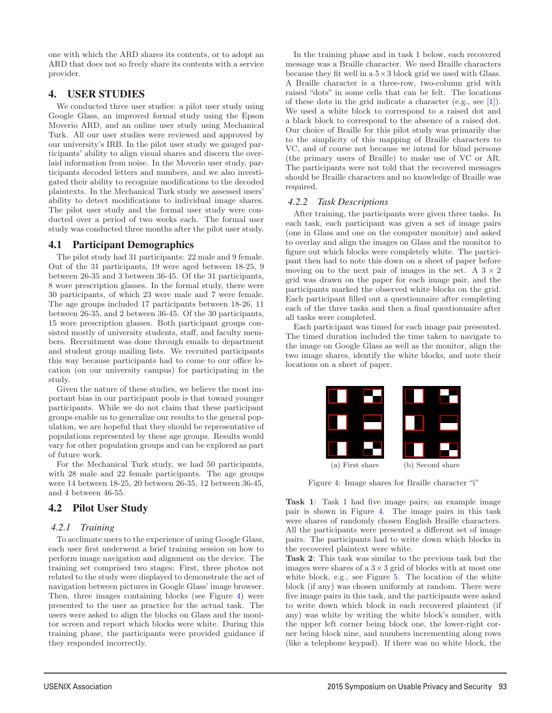one with which the ARD shares its contents, or to adopt an ARD that does not so freely share its contents with a service provider.

# 4. USER STUDIES

We conducted three user studies: a pilot user study using Google Glass, an improved formal study using the Epson Moverio ARD, and an online user study using Mechanical Turk. All our user studies were reviewed and approved by our university's IRB. In the pilot user study we gauged participants' ability to align visual shares and discern the overlaid information from noise. In the Moverio user study, participants decoded letters and numbers, and we also investigated their ability to recognize modifications to the decoded plaintexts. In the Mechanical Turk study we assessed users' ability to detect modifications to individual image shares. The pilot user study and the formal user study were conducted over a period of two weeks each. The formal user study was conducted three months after the pilot user study.

# 4.1 Participant Demographics

The pilot study had 31 participants: 22 male and 9 female. Out of the 31 participants, 19 were aged between 18-25, 9 between 26-35 and 3 between 36-45. Of the 31 participants, 8 wore prescription glasses. In the formal study, there were 30 participants, of which 23 were male and 7 were female. The age groups included 17 participants between 18-26, 11 between 26-35, and 2 between 36-45. Of the 30 participants, 15 wore prescription glasses. Both participant groups consisted mostly of university students, staff, and faculty members. Recruitment was done through emails to department and student group mailing lists. We recruited participants this way because participants had to come to our office location (on our university campus) for participating in the study.

Given the nature of these studies, we believe the most important bias in our participant pools is that toward younger participants. While we do not claim that these participant groups enable us to generalize our results to the general population, we are hopeful that they should be representative of populations represented by these age groups. Results would vary for other population groups and can be explored as part of future work.

For the Mechanical Turk study, we had 50 participants, with 28 male and 22 female participants. The age groups were 14 between 18-25, 20 between 26-35, 12 between 36-45, and 4 between 46-55.

# 4.2 Pilot User Study

### *4.2.1 Training*

To acclimate users to the experience of using Google Glass, each user first underwent a brief training session on how to perform image navigation and alignment on the device. The training set comprised two stages: First, three photos not related to the study were displayed to demonstrate the act of navigation between pictures in Google Glass' image browser. Then, three images containing blocks (see Figure 4) were presented to the user as practice for the actual task. The users were asked to align the blocks on Glass and the monitor screen and report which blocks were white. During this training phase, the participants were provided guidance if they responded incorrectly.

5

In the training phase and in task 1 below, each recovered message was a Braille character. We used Braille characters because they fit well in a  $5\times3$  block grid we used with Glass. A Braille character is a three-row, two-column grid with raised "dots" in some cells that can be felt. The locations of these dots in the grid indicate a character (e.g., see [1]). We used a white block to correspond to a raised dot and a black block to correspond to the absence of a raised dot. Our choice of Braille for this pilot study was primarily due to the simplicity of this mapping of Braille characters to VC, and of course not because we intend for blind persons (the primary users of Braille) to make use of VC or AR. The participants were not told that the recovered messages should be Braille characters and no knowledge of Braille was required.

### *4.2.2 Task Descriptions*

After training, the participants were given three tasks. In each task, each participant was given a set of image pairs (one in Glass and one on the computer monitor) and asked to overlay and align the images on Glass and the monitor to figure out which blocks were completely white. The participant then had to note this down on a sheet of paper before moving on to the next pair of images in the set. A  $3 \times 2$ grid was drawn on the paper for each image pair, and the participants marked the observed white blocks on the grid. Each participant filled out a questionnaire after completing each of the three tasks and then a final questionnaire after all tasks were completed.

Each participant was timed for each image pair presented. The timed duration included the time taken to navigate to the image on Google Glass as well as the monitor, align the two image shares, identify the white blocks, and note their locations on a sheet of paper.



Figure 4: Image shares for Braille character "i"

Task 1: Task 1 had five image pairs; an example image pair is shown in Figure 4. The image pairs in this task were shares of randomly chosen English Braille characters. All the participants were presented a different set of image pairs. The participants had to write down which blocks in the recovered plaintext were white.

Task 2: This task was similar to the previous task but the images were shares of a  $3 \times 3$  grid of blocks with at most one white block, e.g., see Figure 5. The location of the white block (if any) was chosen uniformly at random. There were five image pairs in this task, and the participants were asked to write down which block in each recovered plaintext (if any) was white by writing the white block's number, with the upper left corner being block one, the lower-right corner being block nine, and numbers incrementing along rows (like a telephone keypad). If there was no white block, the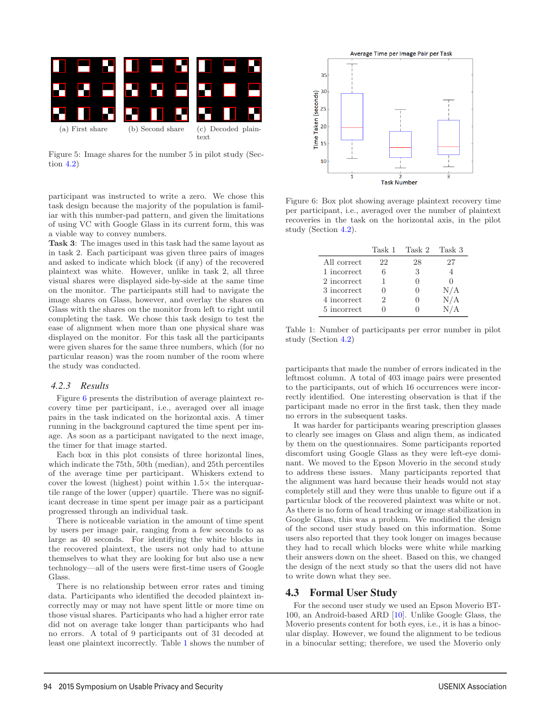

Figure 5: Image shares for the number 5 in pilot study (Section 4.2)

participant was instructed to write a zero. We chose this task design because the majority of the population is familiar with this number-pad pattern, and given the limitations of using VC with Google Glass in its current form, this was a viable way to convey numbers.

Task 3: The images used in this task had the same layout as in task 2. Each participant was given three pairs of images and asked to indicate which block (if any) of the recovered plaintext was white. However, unlike in task 2, all three visual shares were displayed side-by-side at the same time on the monitor. The participants still had to navigate the image shares on Glass, however, and overlay the shares on Glass with the shares on the monitor from left to right until completing the task. We chose this task design to test the ease of alignment when more than one physical share was displayed on the monitor. For this task all the participants were given shares for the same three numbers, which (for no particular reason) was the room number of the room where the study was conducted.

#### *4.2.3 Results*

Figure 6 presents the distribution of average plaintext recovery time per participant, i.e., averaged over all image pairs in the task indicated on the horizontal axis. A timer running in the background captured the time spent per image. As soon as a participant navigated to the next image, the timer for that image started.

Each box in this plot consists of three horizontal lines, which indicate the 75th, 50th (median), and 25th percentiles of the average time per participant. Whiskers extend to cover the lowest (highest) point within  $1.5\times$  the interquartile range of the lower (upper) quartile. There was no significant decrease in time spent per image pair as a participant progressed through an individual task.

There is noticeable variation in the amount of time spent by users per image pair, ranging from a few seconds to as large as 40 seconds. For identifying the white blocks in the recovered plaintext, the users not only had to attune themselves to what they are looking for but also use a new technology—all of the users were first-time users of Google Glass.

There is no relationship between error rates and timing data. Participants who identified the decoded plaintext incorrectly may or may not have spent little or more time on those visual shares. Participants who had a higher error rate did not on average take longer than participants who had no errors. A total of 9 participants out of 31 decoded at least one plaintext incorrectly. Table 1 shows the number of



Figure 6: Box plot showing average plaintext recovery time per participant, i.e., averaged over the number of plaintext recoveries in the task on the horizontal axis, in the pilot study (Section 4.2).

|             |    | Task 1 Task 2 Task 3 |     |
|-------------|----|----------------------|-----|
| All correct | 22 | 28                   | 27  |
| 1 incorrect | 6  | 3                    |     |
| 2 incorrect |    |                      |     |
| 3 incorrect |    |                      | N/A |
| 4 incorrect | 2  |                      | N/A |
| 5 incorrect |    |                      | N/A |

Table 1: Number of participants per error number in pilot study (Section 4.2)

participants that made the number of errors indicated in the leftmost column. A total of 403 image pairs were presented to the participants, out of which 16 occurrences were incorrectly identified. One interesting observation is that if the participant made no error in the first task, then they made no errors in the subsequent tasks.

It was harder for participants wearing prescription glasses to clearly see images on Glass and align them, as indicated by them on the questionnaires. Some participants reported discomfort using Google Glass as they were left-eye dominant. We moved to the Epson Moverio in the second study to address these issues. Many participants reported that the alignment was hard because their heads would not stay completely still and they were thus unable to figure out if a particular block of the recovered plaintext was white or not. As there is no form of head tracking or image stabilization in Google Glass, this was a problem. We modified the design of the second user study based on this information. Some users also reported that they took longer on images because they had to recall which blocks were white while marking their answers down on the sheet. Based on this, we changed the design of the next study so that the users did not have to write down what they see.

### 4.3 Formal User Study

6

For the second user study we used an Epson Moverio BT-100, an Android-based ARD [10]. Unlike Google Glass, the Moverio presents content for both eyes, i.e., it is has a binocular display. However, we found the alignment to be tedious in a binocular setting; therefore, we used the Moverio only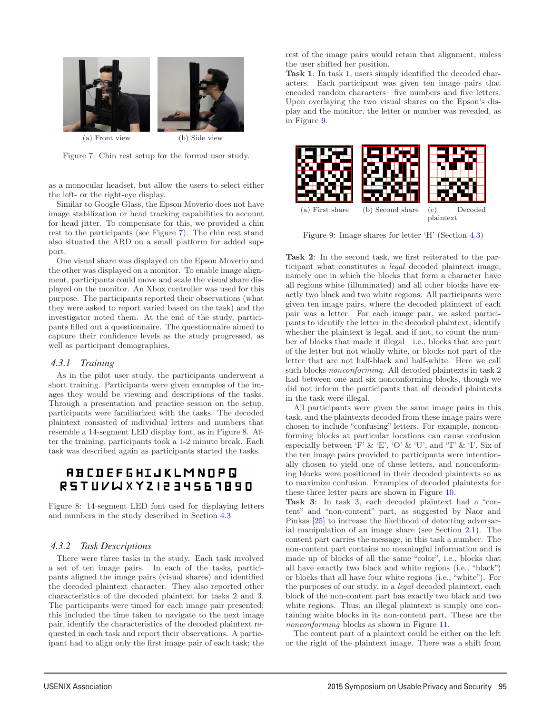

Figure 7: Chin rest setup for the formal user study.

as a monocular headset, but allow the users to select either the left- or the right-eye display.

Similar to Google Glass, the Epson Moverio does not have image stabilization or head tracking capabilities to account for head jitter. To compensate for this, we provided a chin rest to the participants (see Figure 7). The chin rest stand also situated the ARD on a small platform for added support.

One visual share was displayed on the Epson Moverio and the other was displayed on a monitor. To enable image alignment, participants could move and scale the visual share displayed on the monitor. An Xbox controller was used for this purpose. The participants reported their observations (what they were asked to report varied based on the task) and the investigator noted them. At the end of the study, participants filled out a questionnaire. The questionnaire aimed to capture their confidence levels as the study progressed, as well as participant demographics.

#### *4.3.1 Training*

As in the pilot user study, the participants underwent a short training. Participants were given examples of the images they would be viewing and descriptions of the tasks. Through a presentation and practice session on the setup, participants were familiarized with the tasks. The decoded plaintext consisted of individual letters and numbers that resemble a 14-segment LED display font, as in Figure 8. After the training, participants took a 1-2 minute break. Each task was described again as participants started the tasks.

# **ABCDEFGHIJKLMNOPQ** RSTUVWXYZI234561890

Figure 8: 14-segment LED font used for displaying letters and numbers in the study described in Section 4.3

#### *4.3.2 Task Descriptions*

There were three tasks in the study. Each task involved a set of ten image pairs. In each of the tasks, participants aligned the image pairs (visual shares) and identified the decoded plaintext character. They also reported other characteristics of the decoded plaintext for tasks 2 and 3. The participants were timed for each image pair presented; this included the time taken to navigate to the next image pair, identify the characteristics of the decoded plaintext requested in each task and report their observations. A participant had to align only the first image pair of each task; the rest of the image pairs would retain that alignment, unless the user shifted her position.

Task 1: In task 1, users simply identified the decoded characters. Each participant was given ten image pairs that encoded random characters—five numbers and five letters. Upon overlaying the two visual shares on the Epson's display and the monitor, the letter or number was revealed, as in Figure 9.



Figure 9: Image shares for letter 'H' (Section 4.3)

Task 2: In the second task, we first reiterated to the participant what constitutes a legal decoded plaintext image, namely one in which the blocks that form a character have all regions white (illuminated) and all other blocks have exactly two black and two white regions. All participants were given ten image pairs, where the decoded plaintext of each pair was a letter. For each image pair, we asked participants to identify the letter in the decoded plaintext, identify whether the plaintext is legal, and if not, to count the number of blocks that made it illegal—i.e., blocks that are part of the letter but not wholly white, or blocks not part of the letter that are not half-black and half-white. Here we call such blocks nonconforming. All decoded plaintexts in task 2 had between one and six nonconforming blocks, though we did not inform the participants that all decoded plaintexts in the task were illegal.

All participants were given the same image pairs in this task, and the plaintexts decoded from these image pairs were chosen to include "confusing" letters. For example, nonconforming blocks at particular locations can cause confusion especially between 'F' & 'E', 'O' & 'U', and 'T' & 'I'. Six of the ten image pairs provided to participants were intentionally chosen to yield one of these letters, and nonconforming blocks were positioned in their decoded plaintexts so as to maximize confusion. Examples of decoded plaintexts for these three letter pairs are shown in Figure 10.

Task 3: In task 3, each decoded plaintext had a "content" and "non-content" part, as suggested by Naor and Pinkas [25] to increase the likelihood of detecting adversarial manipulation of an image share (see Section 2.1). The content part carries the message, in this task a number. The non-content part contains no meaningful information and is made up of blocks of all the same "color", i.e., blocks that all have exactly two black and white regions (i.e., "black") or blocks that all have four white regions (i.e., "white"). For the purposes of our study, in a legal decoded plaintext, each block of the non-content part has exactly two black and two white regions. Thus, an illegal plaintext is simply one containing white blocks in its non-content part. These are the nonconforming blocks as shown in Figure 11.

The content part of a plaintext could be either on the left or the right of the plaintext image. There was a shift from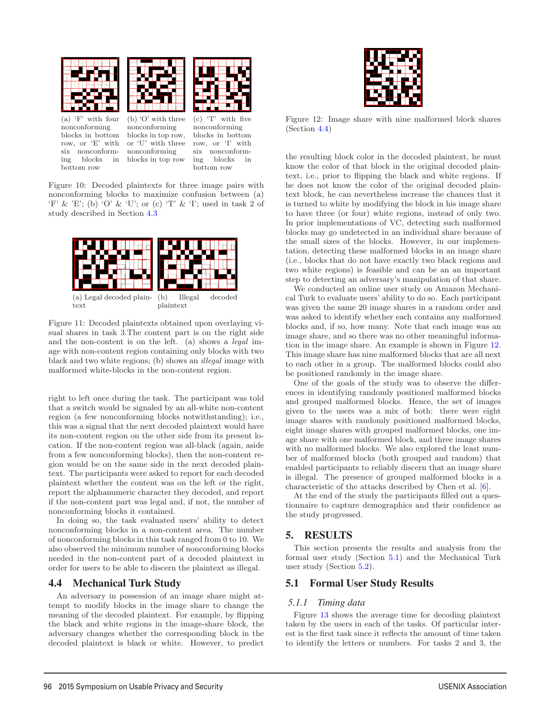

(a) 'F' with four nonconforming blocks in bottom row, or 'E' with six nonconforming blocks in bottom row

(b) 'O' with three nonconforming blocks in top row, or 'U' with three nonconforming blocks in top row (c) 'T' with five nonconforming blocks in bottom row, or 'I' with six nonconforming blocks in bottom row

Figure 10: Decoded plaintexts for three image pairs with nonconforming blocks to maximize confusion between (a)  $F' \& E'$ ; (b) 'O'  $\&$  'U'; or (c) 'T'  $\&$  'I'; used in task 2 of study described in Section 4.3



Figure 11: Decoded plaintexts obtained upon overlaying visual shares in task 3.The content part is on the right side and the non-content is on the left. (a) shows a legal image with non-content region containing only blocks with two black and two white regions; (b) shows an illegal image with malformed white-blocks in the non-content region.

right to left once during the task. The participant was told that a switch would be signaled by an all-white non-content region (a few nonconforming blocks notwithstanding); i.e., this was a signal that the next decoded plaintext would have its non-content region on the other side from its present location. If the non-content region was all-black (again, aside from a few nonconforming blocks), then the non-content region would be on the same side in the next decoded plaintext. The participants were asked to report for each decoded plaintext whether the content was on the left or the right, report the alphanumeric character they decoded, and report if the non-content part was legal and, if not, the number of nonconforming blocks it contained.

In doing so, the task evaluated users' ability to detect nonconforming blocks in a non-content area. The number of nonconforming blocks in this task ranged from 0 to 10. We also observed the minimum number of nonconforming blocks needed in the non-content part of a decoded plaintext in order for users to be able to discern the plaintext as illegal.

### 4.4 Mechanical Turk Study

An adversary in possession of an image share might attempt to modify blocks in the image share to change the meaning of the decoded plaintext. For example, by flipping the black and white regions in the image-share block, the adversary changes whether the corresponding block in the decoded plaintext is black or white. However, to predict



Figure 12: Image share with nine malformed block shares (Section 4.4)

the resulting block color in the decoded plaintext, he must know the color of that block in the original decoded plaintext, i.e., prior to flipping the black and white regions. If he does not know the color of the original decoded plaintext block, he can nevertheless increase the chances that it is turned to white by modifying the block in his image share to have three (or four) white regions, instead of only two. In prior implementations of VC, detecting such malformed blocks may go undetected in an individual share because of the small sizes of the blocks. However, in our implementation, detecting these malformed blocks in an image share (i.e., blocks that do not have exactly two black regions and two white regions) is feasible and can be an an important step to detecting an adversary's manipulation of that share.

We conducted an online user study on Amazon Mechanical Turk to evaluate users' ability to do so. Each participant was given the same 20 image shares in a random order and was asked to identify whether each contains any malformed blocks and, if so, how many. Note that each image was an image share, and so there was no other meaningful information in the image share. An example is shown in Figure 12. This image share has nine malformed blocks that are all next to each other in a group. The malformed blocks could also be positioned randomly in the image share.

One of the goals of the study was to observe the differences in identifying randomly positioned malformed blocks and grouped malformed blocks. Hence, the set of images given to the users was a mix of both: there were eight image shares with randomly positioned malformed blocks, eight image shares with grouped malformed blocks, one image share with one malformed block, and three image shares with no malformed blocks. We also explored the least number of malformed blocks (both grouped and random) that enabled participants to reliably discern that an image share is illegal. The presence of grouped malformed blocks is a characteristic of the attacks described by Chen et al. [6].

At the end of the study the participants filled out a questionnaire to capture demographics and their confidence as the study progressed.

### 5. RESULTS

This section presents the results and analysis from the formal user study (Section 5.1) and the Mechanical Turk user study (Section 5.2).

#### 5.1 Formal User Study Results

#### *5.1.1 Timing data*

8

Figure 13 shows the average time for decoding plaintext taken by the users in each of the tasks. Of particular interest is the first task since it reflects the amount of time taken to identify the letters or numbers. For tasks 2 and 3, the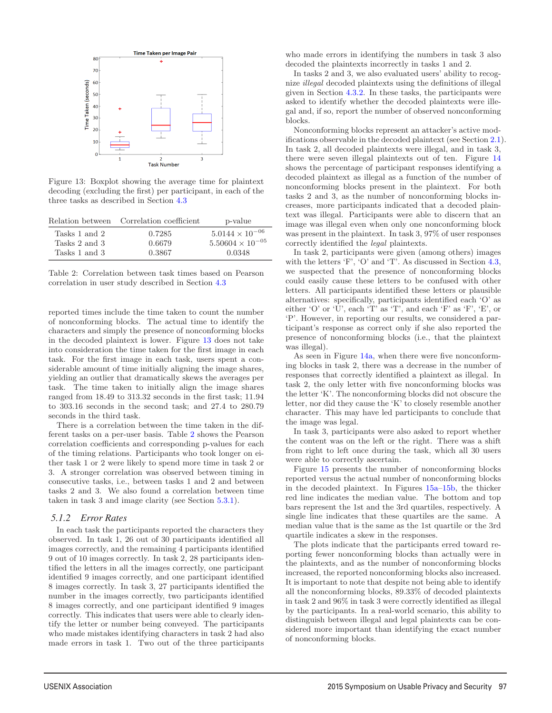

Figure 13: Boxplot showing the average time for plaintext decoding (excluding the first) per participant, in each of the three tasks as described in Section 4.3

|               | Relation between Correlation coefficient | p-value                   |
|---------------|------------------------------------------|---------------------------|
| Tasks 1 and 2 | 0.7285                                   | $5.0144 \times 10^{-06}$  |
| Tasks 2 and 3 | 0.6679                                   | $5.50604 \times 10^{-05}$ |
| Tasks 1 and 3 | 0.3867                                   | 0.0348                    |

Table 2: Correlation between task times based on Pearson correlation in user study described in Section 4.3

reported times include the time taken to count the number of nonconforming blocks. The actual time to identify the characters and simply the presence of nonconforming blocks in the decoded plaintext is lower. Figure 13 does not take into consideration the time taken for the first image in each task. For the first image in each task, users spent a considerable amount of time initially aligning the image shares, yielding an outlier that dramatically skews the averages per task. The time taken to initially align the image shares ranged from 18.49 to 313.32 seconds in the first task; 11.94 to 303.16 seconds in the second task; and 27.4 to 280.79 seconds in the third task.

There is a correlation between the time taken in the different tasks on a per-user basis. Table 2 shows the Pearson correlation coefficients and corresponding p-values for each of the timing relations. Participants who took longer on either task 1 or 2 were likely to spend more time in task 2 or 3. A stronger correlation was observed between timing in consecutive tasks, i.e., between tasks 1 and 2 and between tasks 2 and 3. We also found a correlation between time taken in task 3 and image clarity (see Section 5.3.1).

#### *5.1.2 Error Rates*

In each task the participants reported the characters they observed. In task 1, 26 out of 30 participants identified all images correctly, and the remaining 4 participants identified 9 out of 10 images correctly. In task 2, 28 participants identified the letters in all the images correctly, one participant identified 9 images correctly, and one participant identified 8 images correctly. In task 3, 27 participants identified the number in the images correctly, two participants identified 8 images correctly, and one participant identified 9 images correctly. This indicates that users were able to clearly identify the letter or number being conveyed. The participants who made mistakes identifying characters in task 2 had also made errors in task 1. Two out of the three participants

who made errors in identifying the numbers in task 3 also decoded the plaintexts incorrectly in tasks 1 and 2.

In tasks 2 and 3, we also evaluated users' ability to recognize illegal decoded plaintexts using the definitions of illegal given in Section 4.3.2. In these tasks, the participants were asked to identify whether the decoded plaintexts were illegal and, if so, report the number of observed nonconforming blocks.

Nonconforming blocks represent an attacker's active modifications observable in the decoded plaintext (see Section 2.1). In task 2, all decoded plaintexts were illegal, and in task 3, there were seven illegal plaintexts out of ten. Figure 14 shows the percentage of participant responses identifying a decoded plaintext as illegal as a function of the number of nonconforming blocks present in the plaintext. For both tasks 2 and 3, as the number of nonconforming blocks increases, more participants indicated that a decoded plaintext was illegal. Participants were able to discern that an image was illegal even when only one nonconforming block was present in the plaintext. In task 3, 97% of user responses correctly identified the legal plaintexts.

In task 2, participants were given (among others) images with the letters 'F', 'O' and 'T'. As discussed in Section 4.3, we suspected that the presence of nonconforming blocks could easily cause these letters to be confused with other letters. All participants identified these letters or plausible alternatives: specifically, participants identified each 'O' as either 'O' or 'U', each 'T' as 'T', and each 'F' as 'F', 'E', or 'P'. However, in reporting our results, we considered a participant's response as correct only if she also reported the presence of nonconforming blocks (i.e., that the plaintext was illegal).

As seen in Figure 14a, when there were five nonconforming blocks in task 2, there was a decrease in the number of responses that correctly identified a plaintext as illegal. In task 2, the only letter with five nonconforming blocks was the letter 'K'. The nonconforming blocks did not obscure the letter, nor did they cause the 'K' to closely resemble another character. This may have led participants to conclude that the image was legal.

In task 3, participants were also asked to report whether the content was on the left or the right. There was a shift from right to left once during the task, which all 30 users were able to correctly ascertain.

Figure 15 presents the number of nonconforming blocks reported versus the actual number of nonconforming blocks in the decoded plaintext. In Figures 15a–15b, the thicker red line indicates the median value. The bottom and top bars represent the 1st and the 3rd quartiles, respectively. A single line indicates that these quartiles are the same. A median value that is the same as the 1st quartile or the 3rd quartile indicates a skew in the responses.

The plots indicate that the participants erred toward reporting fewer nonconforming blocks than actually were in the plaintexts, and as the number of nonconforming blocks increased, the reported nonconforming blocks also increased. It is important to note that despite not being able to identify all the nonconforming blocks, 89.33% of decoded plaintexts in task 2 and 96% in task 3 were correctly identified as illegal by the participants. In a real-world scenario, this ability to distinguish between illegal and legal plaintexts can be considered more important than identifying the exact number of nonconforming blocks.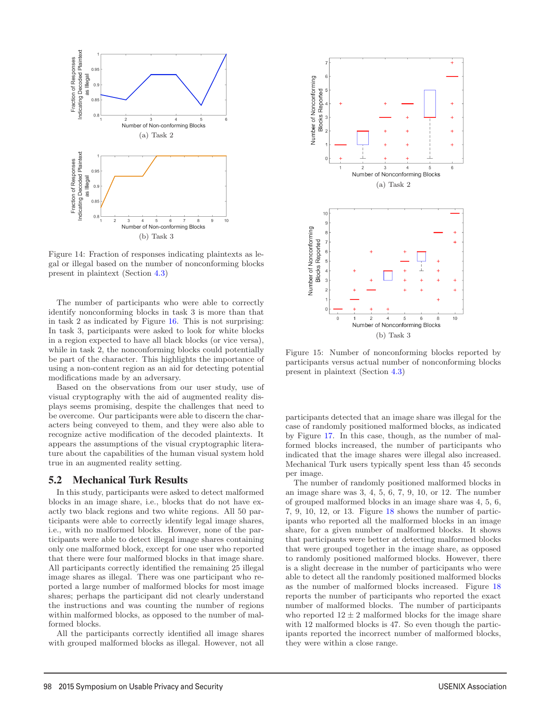

Figure 14: Fraction of responses indicating plaintexts as legal or illegal based on the number of nonconforming blocks present in plaintext (Section 4.3)

The number of participants who were able to correctly identify nonconforming blocks in task 3 is more than that in task 2 as indicated by Figure 16. This is not surprising: In task 3, participants were asked to look for white blocks in a region expected to have all black blocks (or vice versa), while in task 2, the nonconforming blocks could potentially be part of the character. This highlights the importance of using a non-content region as an aid for detecting potential modifications made by an adversary.

Based on the observations from our user study, use of visual cryptography with the aid of augmented reality displays seems promising, despite the challenges that need to be overcome. Our participants were able to discern the characters being conveyed to them, and they were also able to recognize active modification of the decoded plaintexts. It appears the assumptions of the visual cryptographic literature about the capabilities of the human visual system hold true in an augmented reality setting.

### 5.2 Mechanical Turk Results

In this study, participants were asked to detect malformed blocks in an image share, i.e., blocks that do not have exactly two black regions and two white regions. All 50 participants were able to correctly identify legal image shares, i.e., with no malformed blocks. However, none of the participants were able to detect illegal image shares containing only one malformed block, except for one user who reported that there were four malformed blocks in that image share. All participants correctly identified the remaining 25 illegal image shares as illegal. There was one participant who reported a large number of malformed blocks for most image shares; perhaps the participant did not clearly understand the instructions and was counting the number of regions within malformed blocks, as opposed to the number of malformed blocks.

All the participants correctly identified all image shares with grouped malformed blocks as illegal. However, not all

10



Figure 15: Number of nonconforming blocks reported by participants versus actual number of nonconforming blocks present in plaintext (Section 4.3)

participants detected that an image share was illegal for the case of randomly positioned malformed blocks, as indicated by Figure 17. In this case, though, as the number of malformed blocks increased, the number of participants who indicated that the image shares were illegal also increased. Mechanical Turk users typically spent less than 45 seconds per image.

The number of randomly positioned malformed blocks in an image share was 3, 4, 5, 6, 7, 9, 10, or 12. The number of grouped malformed blocks in an image share was 4, 5, 6, 7, 9, 10, 12, or 13. Figure 18 shows the number of participants who reported all the malformed blocks in an image share, for a given number of malformed blocks. It shows that participants were better at detecting malformed blocks that were grouped together in the image share, as opposed to randomly positioned malformed blocks. However, there is a slight decrease in the number of participants who were able to detect all the randomly positioned malformed blocks as the number of malformed blocks increased. Figure 18 reports the number of participants who reported the exact number of malformed blocks. The number of participants who reported  $12 \pm 2$  malformed blocks for the image share with 12 malformed blocks is 47. So even though the participants reported the incorrect number of malformed blocks, they were within a close range.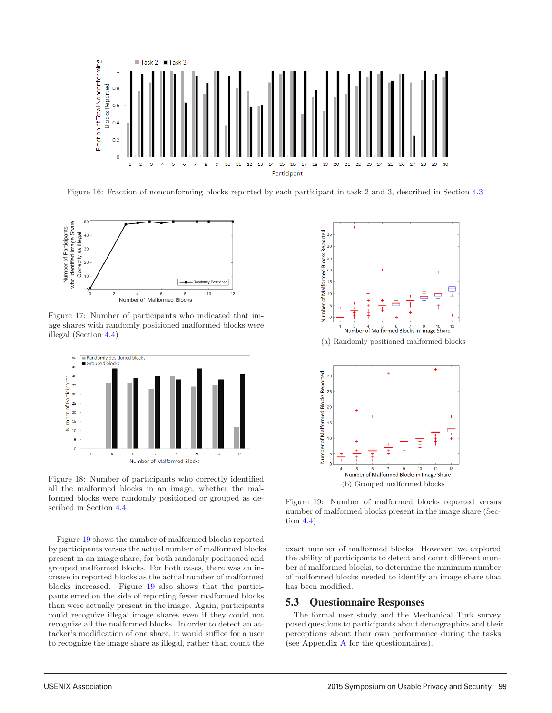

Figure 16: Fraction of nonconforming blocks reported by each participant in task 2 and 3, described in Section 4.3



Figure 17: Number of participants who indicated that image shares with randomly positioned malformed blocks were illegal (Section 4.4)



Figure 18: Number of participants who correctly identified all the malformed blocks in an image, whether the malformed blocks were randomly positioned or grouped as described in Section 4.4

Figure 19 shows the number of malformed blocks reported by participants versus the actual number of malformed blocks present in an image share, for both randomly positioned and grouped malformed blocks. For both cases, there was an increase in reported blocks as the actual number of malformed blocks increased. Figure 19 also shows that the participants erred on the side of reporting fewer malformed blocks than were actually present in the image. Again, participants could recognize illegal image shares even if they could not recognize all the malformed blocks. In order to detect an attacker's modification of one share, it would suffice for a user to recognize the image share as illegal, rather than count the



Figure 19: Number of malformed blocks reported versus number of malformed blocks present in the image share (Section 4.4)

(b) Grouped malformed blocks

exact number of malformed blocks. However, we explored the ability of participants to detect and count different number of malformed blocks, to determine the minimum number of malformed blocks needed to identify an image share that has been modified.

#### 5.3 Questionnaire Responses

11

The formal user study and the Mechanical Turk survey posed questions to participants about demographics and their perceptions about their own performance during the tasks (see Appendix A for the questionnaires).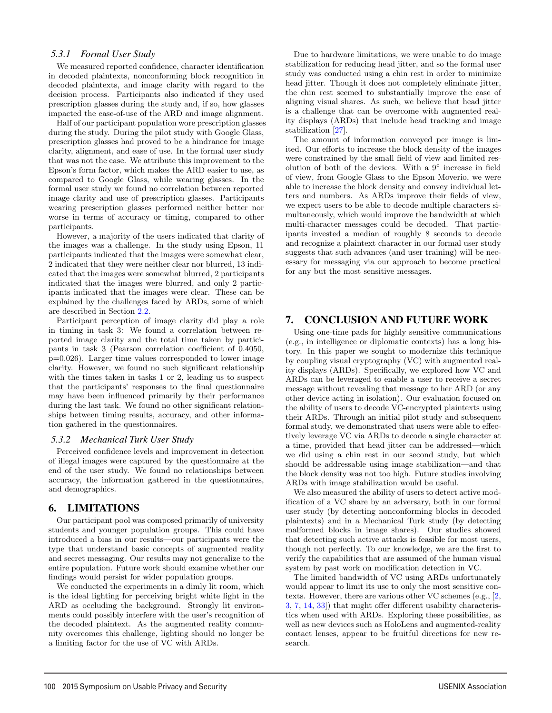#### *5.3.1 Formal User Study*

We measured reported confidence, character identification in decoded plaintexts, nonconforming block recognition in decoded plaintexts, and image clarity with regard to the decision process. Participants also indicated if they used prescription glasses during the study and, if so, how glasses impacted the ease-of-use of the ARD and image alignment.

Half of our participant population wore prescription glasses during the study. During the pilot study with Google Glass, prescription glasses had proved to be a hindrance for image clarity, alignment, and ease of use. In the formal user study that was not the case. We attribute this improvement to the Epson's form factor, which makes the ARD easier to use, as compared to Google Glass, while wearing glasses. In the formal user study we found no correlation between reported image clarity and use of prescription glasses. Participants wearing prescription glasses performed neither better nor worse in terms of accuracy or timing, compared to other participants.

However, a majority of the users indicated that clarity of the images was a challenge. In the study using Epson, 11 participants indicated that the images were somewhat clear, 2 indicated that they were neither clear nor blurred, 13 indicated that the images were somewhat blurred, 2 participants indicated that the images were blurred, and only 2 participants indicated that the images were clear. These can be explained by the challenges faced by ARDs, some of which are described in Section 2.2.

Participant perception of image clarity did play a role in timing in task 3: We found a correlation between reported image clarity and the total time taken by participants in task 3 (Pearson correlation coefficient of 0.4050, p=0.026). Larger time values corresponded to lower image clarity. However, we found no such significant relationship with the times taken in tasks 1 or 2, leading us to suspect that the participants' responses to the final questionnaire may have been influenced primarily by their performance during the last task. We found no other significant relationships between timing results, accuracy, and other information gathered in the questionnaires.

#### *5.3.2 Mechanical Turk User Study*

Perceived confidence levels and improvement in detection of illegal images were captured by the questionnaire at the end of the user study. We found no relationships between accuracy, the information gathered in the questionnaires, and demographics.

### 6. LIMITATIONS

Our participant pool was composed primarily of university students and younger population groups. This could have introduced a bias in our results—our participants were the type that understand basic concepts of augmented reality and secret messaging. Our results may not generalize to the entire population. Future work should examine whether our findings would persist for wider population groups.

We conducted the experiments in a dimly lit room, which is the ideal lighting for perceiving bright white light in the ARD as occluding the background. Strongly lit environments could possibly interfere with the user's recognition of the decoded plaintext. As the augmented reality community overcomes this challenge, lighting should no longer be a limiting factor for the use of VC with ARDs.

12

Due to hardware limitations, we were unable to do image stabilization for reducing head jitter, and so the formal user study was conducted using a chin rest in order to minimize head jitter. Though it does not completely eliminate jitter, the chin rest seemed to substantially improve the ease of aligning visual shares. As such, we believe that head jitter is a challenge that can be overcome with augmented reality displays (ARDs) that include head tracking and image stabilization [27].

The amount of information conveyed per image is limited. Our efforts to increase the block density of the images were constrained by the small field of view and limited resolution of both of the devices. With a 9◦ increase in field of view, from Google Glass to the Epson Moverio, we were able to increase the block density and convey individual letters and numbers. As ARDs improve their fields of view, we expect users to be able to decode multiple characters simultaneously, which would improve the bandwidth at which multi-character messages could be decoded. That participants invested a median of roughly 8 seconds to decode and recognize a plaintext character in our formal user study suggests that such advances (and user training) will be necessary for messaging via our approach to become practical for any but the most sensitive messages.

# 7. CONCLUSION AND FUTURE WORK

Using one-time pads for highly sensitive communications (e.g., in intelligence or diplomatic contexts) has a long history. In this paper we sought to modernize this technique by coupling visual cryptography (VC) with augmented reality displays (ARDs). Specifically, we explored how VC and ARDs can be leveraged to enable a user to receive a secret message without revealing that message to her ARD (or any other device acting in isolation). Our evaluation focused on the ability of users to decode VC-encrypted plaintexts using their ARDs. Through an initial pilot study and subsequent formal study, we demonstrated that users were able to effectively leverage VC via ARDs to decode a single character at a time, provided that head jitter can be addressed—which we did using a chin rest in our second study, but which should be addressable using image stabilization—and that the block density was not too high. Future studies involving ARDs with image stabilization would be useful.

We also measured the ability of users to detect active modification of a VC share by an adversary, both in our formal user study (by detecting nonconforming blocks in decoded plaintexts) and in a Mechanical Turk study (by detecting malformed blocks in image shares). Our studies showed that detecting such active attacks is feasible for most users, though not perfectly. To our knowledge, we are the first to verify the capabilities that are assumed of the human visual system by past work on modification detection in VC.

The limited bandwidth of VC using ARDs unfortunately would appear to limit its use to only the most sensitive contexts. However, there are various other VC schemes (e.g., [2, 3, 7, 14, 33]) that might offer different usability characteristics when used with ARDs. Exploring these possibilities, as well as new devices such as HoloLens and augmented-reality contact lenses, appear to be fruitful directions for new research.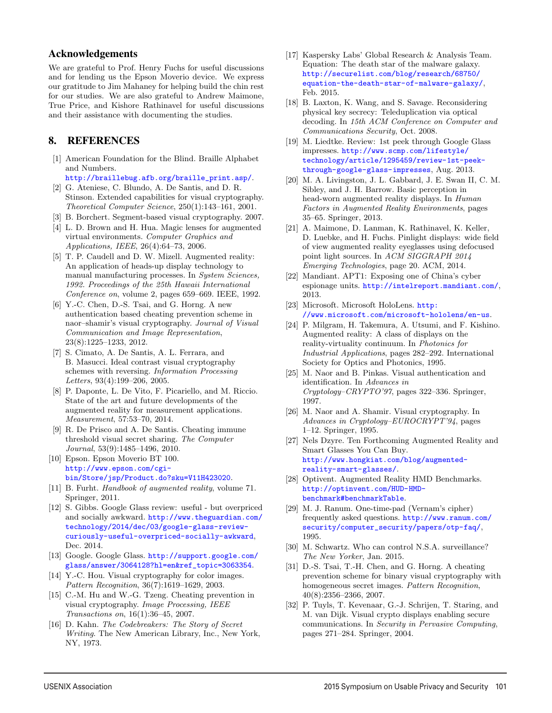### Acknowledgements

We are grateful to Prof. Henry Fuchs for useful discussions and for lending us the Epson Moverio device. We express our gratitude to Jim Mahaney for helping build the chin rest for our studies. We are also grateful to Andrew Maimone, True Price, and Kishore Rathinavel for useful discussions and their assistance with documenting the studies.

# 8. REFERENCES

- [1] American Foundation for the Blind. Braille Alphabet and Numbers.
	- http://braillebug.afb.org/braille\_print.asp/.
- [2] G. Ateniese, C. Blundo, A. De Santis, and D. R. Stinson. Extended capabilities for visual cryptography. Theoretical Computer Science, 250(1):143–161, 2001.
- [3] B. Borchert. Segment-based visual cryptography. 2007.
- [4] L. D. Brown and H. Hua. Magic lenses for augmented virtual environments. Computer Graphics and Applications, IEEE, 26(4):64–73, 2006.
- [5] T. P. Caudell and D. W. Mizell. Augmented reality: An application of heads-up display technology to manual manufacturing processes. In System Sciences, 1992. Proceedings of the 25th Hawaii International Conference on, volume 2, pages 659–669. IEEE, 1992.
- [6] Y.-C. Chen, D.-S. Tsai, and G. Horng. A new authentication based cheating prevention scheme in naor–shamir's visual cryptography. Journal of Visual Communication and Image Representation, 23(8):1225–1233, 2012.
- [7] S. Cimato, A. De Santis, A. L. Ferrara, and B. Masucci. Ideal contrast visual cryptography schemes with reversing. Information Processing Letters, 93(4):199–206, 2005.
- [8] P. Daponte, L. De Vito, F. Picariello, and M. Riccio. State of the art and future developments of the augmented reality for measurement applications. Measurement, 57:53–70, 2014.
- [9] R. De Prisco and A. De Santis. Cheating immune threshold visual secret sharing. The Computer Journal, 53(9):1485–1496, 2010.
- [10] Epson. Epson Moverio BT 100. http://www.epson.com/cgibin/Store/jsp/Product.do?sku=V11H423020.
- [11] B. Furht. Handbook of augmented reality, volume 71. Springer, 2011.
- [12] S. Gibbs. Google Glass review: useful but overpriced and socially awkward. http://www.theguardian.com/ technology/2014/dec/03/google-glass-reviewcuriously-useful-overpriced-socially-awkward, Dec. 2014.
- [13] Google. Google Glass. http://support.google.com/ glass/answer/3064128?hl=en&ref\_topic=3063354.
- [14] Y.-C. Hou. Visual cryptography for color images. Pattern Recognition, 36(7):1619–1629, 2003.
- [15] C.-M. Hu and W.-G. Tzeng. Cheating prevention in visual cryptography. Image Processing, IEEE Transactions on, 16(1):36–45, 2007.
- [16] D. Kahn. The Codebreakers: The Story of Secret Writing. The New American Library, Inc., New York, NY, 1973.

- [17] Kaspersky Labs' Global Research & Analysis Team. Equation: The death star of the malware galaxy. http://securelist.com/blog/research/68750/ equation-the-death-star-of-malware-galaxy/, Feb. 2015.
- [18] B. Laxton, K. Wang, and S. Savage. Reconsidering physical key secrecy: Teleduplication via optical decoding. In 15th ACM Conference on Computer and Communications Security, Oct. 2008.
- [19] M. Liedtke. Review: 1st peek through Google Glass impresses. http://www.scmp.com/lifestyle/ technology/article/1295459/review-1st-peekthrough-google-glass-impresses, Aug. 2013.
- [20] M. A. Livingston, J. L. Gabbard, J. E. Swan II, C. M. Sibley, and J. H. Barrow. Basic perception in head-worn augmented reality displays. In Human Factors in Augmented Reality Environments, pages 35–65. Springer, 2013.
- [21] A. Maimone, D. Lanman, K. Rathinavel, K. Keller, D. Luebke, and H. Fuchs. Pinlight displays: wide field of view augmented reality eyeglasses using defocused point light sources. In ACM SIGGRAPH 2014 Emerging Technologies, page 20. ACM, 2014.
- [22] Mandiant. APT1: Exposing one of China's cyber espionage units. http://intelreport.mandiant.com/, 2013.
- [23] Microsoft. Microsoft HoloLens. http: //www.microsoft.com/microsoft-hololens/en-us.
- [24] P. Milgram, H. Takemura, A. Utsumi, and F. Kishino. Augmented reality: A class of displays on the reality-virtuality continuum. In Photonics for Industrial Applications, pages 282–292. International Society for Optics and Photonics, 1995.
- [25] M. Naor and B. Pinkas. Visual authentication and identification. In Advances in Cryptology–CRYPTO'97, pages 322–336. Springer, 1997.
- [26] M. Naor and A. Shamir. Visual cryptography. In Advances in Cryptology–EUROCRYPT'94, pages 1–12. Springer, 1995.
- [27] Nels Dzyre. Ten Forthcoming Augmented Reality and Smart Glasses You Can Buy. http://www.hongkiat.com/blog/augmentedreality-smart-glasses/.
- [28] Optivent. Augmented Reality HMD Benchmarks. http://optinvent.com/HUD-HMDbenchmark#benchmarkTable.
- [29] M. J. Ranum. One-time-pad (Vernam's cipher) frequently asked questions. http://www.ranum.com/ security/computer\_security/papers/otp-faq/, 1995.
- [30] M. Schwartz. Who can control N.S.A. surveillance? The New Yorker, Jan. 2015.
- [31] D.-S. Tsai, T.-H. Chen, and G. Horng. A cheating prevention scheme for binary visual cryptography with homogeneous secret images. Pattern Recognition, 40(8):2356–2366, 2007.
- [32] P. Tuyls, T. Kevenaar, G.-J. Schrijen, T. Staring, and M. van Dijk. Visual crypto displays enabling secure communications. In Security in Pervasive Computing, pages 271–284. Springer, 2004.